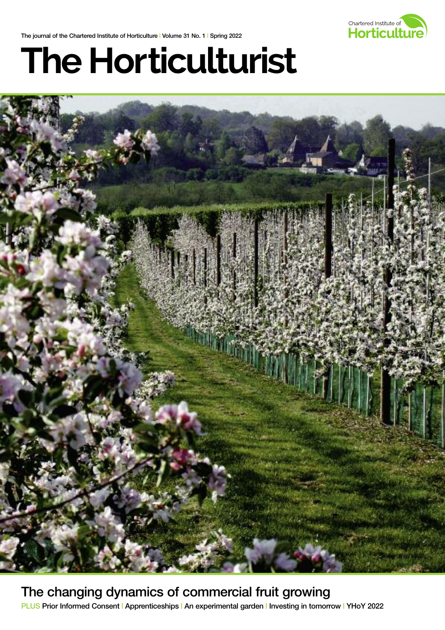The journal of the Chartered Institute of Horticulture | Volume 31 No. 1 | Spring 2022



# **The Horticulturist**



The changing dynamics of commercial fruit growing PLUS Prior Informed Consent | Apprenticeships | An experimental garden | Investing in tomorrow | YHoY 2022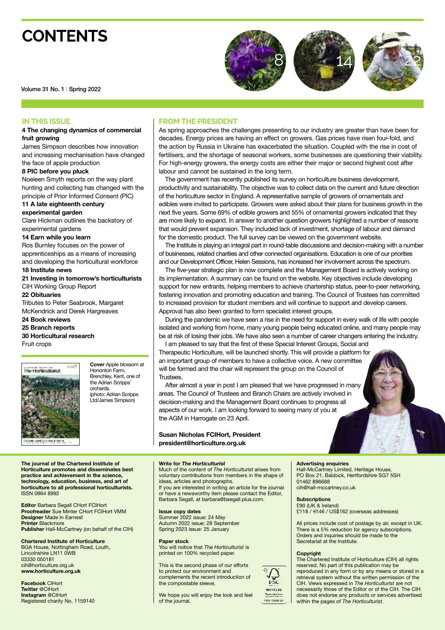### **CONTENTS**







Volume 31 No. 1 | Spring 2022

#### **IN THIS ISSUE**

#### **4 The changing dynamics of commercial fruit growing**

James Simpson describes how innovation and increasing mechanisation have changed the face of apple production

#### **8 PIC before you pluck**

Noeleen Smyth reports on the way plant hunting and collecting has changed with the principle of Prior Informed Consent (PIC)

**11 A late eighteenth century experimental garden**

Clare Hickman outlines the backstory of experimental gardens

#### **14 Earn while you learn**

Ros Burnley focuses on the power of apprenticeships as a means of increasing and developing the horticultural workforce

**18 Institute news 21 Investing in tomorrow's horticulturists** CIH Working Group Report

**22 Obituaries** Tributes to Peter Seabrook, Margaret McKendrick and Derek Hargreaves **24 Book reviews**

#### **25 Branch reports**

**30 Horticultural research**

Fruit crops



**Cover** Apple blossom at Hononton Farm, Brenchley, Kent, one of the Adrian Scripps' orchards. (photo: Adrian Scripps Ltd/James Simpson)

#### **The journal of the Chartered Institute of Horticulture promotes and disseminates best practice and achievement in the science, technology, education, business, and art of horticulture to all professional horticulturists.** ISSN 0964 8992

**Editor** Barbara Segall CHort FCIHort **Proofreader** Sue Minter CHort FCIHort VMM **Designer** Made In Earnest **Printer** Blackmore **Publisher** Hall-McCartney (on behalf of the CIH)

**Chartered Institute of Horticulture** BGA House, Nottingham Road, Louth,

Lincolnshire LN11 0WB 03330 050181 cih@horticulture.org.uk **www.horticulture.org.uk**

**Facebook** CIHort **Twitter** @CIHort **Instagram** @CIHort Registered charity No. 1159140

#### **FROM THE PRESIDENT**

As spring approaches the challenges presenting to our industry are greater than have been for decades. Energy prices are having an effect on growers. Gas prices have risen four-fold, and the action by Russia in Ukraine has exacerbated the situation. Coupled with the rise in cost of fertilisers, and the shortage of seasonal workers, some businesses are questioning their viability. For high-energy growers, the energy costs are either their major or second highest cost after labour and cannot be sustained in the long term.

The government has recently published its survey on horticulture business development, productivity and sustainability. The objective was to collect data on the current and future direction of the horticulture sector in England. A representative sample of growers of ornamentals and edibles were invited to participate. Growers were asked about their plans for business growth in the next five years. Some 69% of edible growers and 55% of ornamental growers indicated that they are more likely to expand. In answer to another question growers highlighted a number of reasons that would prevent expansion. They included lack of investment, shortage of labour and demand for the domestic product. The full survey can be viewed on the government website.

The Institute is playing an integral part in round-table discussions and decision-making with a number of businesses, related charities and other connected organisations. Education is one of our priorities and our Development Officer, Helen Sessions, has increased her involvement across the spectrum.

The five-year strategic plan is now complete and the Management Board is actively working on its implementation. A summary can be found on the website. Key objectives include developing support for new entrants, helping members to achieve chartership status, peer-to-peer networking, fostering innovation and promoting education and training. The Council of Trustees has committed to increased provision for student members and will continue to support and develop careers. Approval has also been granted to form specialist interest groups.

During the pandemic we have seen a rise in the need for support in every walk of life with people isolated and working from home, many young people being educated online, and many people may be at risk of losing their jobs. We have also seen a number of career changers entering the industry.

I am pleased to say that the first of these Special Interest Groups, Social and Therapeutic Horticulture, will be launched shortly. This will provide a platform for an important group of members to have a collective voice. A new committee will be formed and the chair will represent the group on the Council of Trustees.

After almost a year in post I am pleased that we have progressed in many areas. The Council of Trustees and Branch Chairs are actively involved in decision-making and the Management Board continues to progress all aspects of our work. I am looking forward to seeing many of you at the AGM in Harrogate on 23 April.

#### **Susan Nicholas FCIHort, President president@horticulture.org.uk**

#### **Write for** *The Horticulturist*

Much of the content of *The Horticulturist* arises from voluntary contributions from members in the shape of ideas, articles and photographs.

If you are interested in writing an article for the journal or have a newsworthy item please contact the Editor, Barbara Segall, at barbara@bsegall.plus.com.

**Issue copy dates** Summer 2022 issue: 24 May Autumn 2022 issue: 28 September Spring 2023 issue: 25 January

#### **Paper stock**

You will notice that *The Horticulturist* is printed on 100% recycled paper.

This is the second phase of our efforts to protect our environment and complements the recent introduction of the compostable sleeve.

We hope you will enjoy the look and feel of the journal.

#### **Advertising enquiries**

Hall-McCartney Limited, Heritage House, PO Box 21, Baldock, Hertfordshire SG7 5SH 01462 896688 cih@hall-mccartney.co.uk

**Subscriptions** £90 (UK & Ireland) £118 / €146 / US\$162 (overseas addresses)

All prices include cost of postage by air, except in UK. There is a 5% reduction for agency subscriptions. Orders and inquiries should be made to the Secretariat at the Institute.

#### **Copyright**

The Chartered Institute of Horticulture (CIH) all rights reserved. No part of this publication may be reproduced in any form or by any means or stored in a retrieval system without the written permission of the CIH. Views expressed in *The Horticulturist* are not necessarily those of the Editor or of the CIH. The CIH does not endorse any products or services advertised within the pages of *The Horticulturist*.



FSO' CCOS'S?

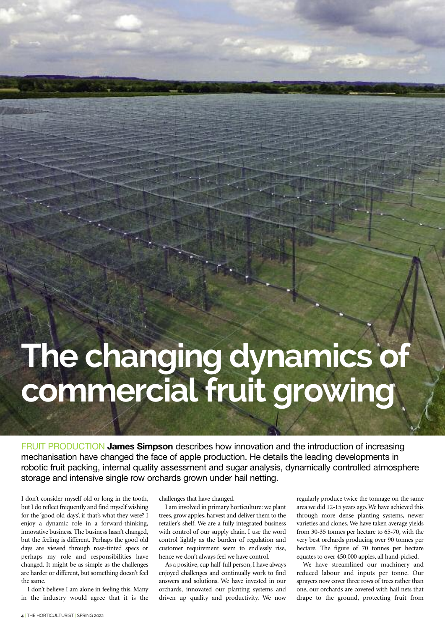## **The changing dynamics of commercialfruit growing**

FRUIT PRODUCTION **James Simpson** describes how innovation and the introduction of increasing mechanisation have changed the face of apple production. He details the leading developments in robotic fruit packing, internal quality assessment and sugar analysis, dynamically controlled atmosphere storage and intensive single row orchards grown under hail netting.

I don't consider myself old or long in the tooth, but I do reflect frequently and find myself wishing for the 'good old days', if that's what they were? I enjoy a dynamic role in a forward-thinking, innovative business. The business hasn't changed, but the feeling is different. Perhaps the good old days are viewed through rose-tinted specs or perhaps my role and responsibilities have changed. It might be as simple as the challenges are harder or different, but something doesn't feel the same.

I don't believe I am alone in feeling this. Many in the industry would agree that it is the

challenges that have changed.

I am involved in primary horticulture: we plant trees, grow apples, harvest and deliver them to the retailer's shelf. We are a fully integrated business with control of our supply chain. I use the word control lightly as the burden of regulation and customer requirement seem to endlessly rise, hence we don't always feel we have control.

As a positive, cup half-full person, I have always enjoyed challenges and continually work to find answers and solutions. We have invested in our orchards, innovated our planting systems and driven up quality and productivity. We now

regularly produce twice the tonnage on the same area we did 12-15 years ago.We have achieved this through more dense planting systems, newer varieties and clones. We have taken average yields from 30-35 tonnes per hectare to 65-70, with the very best orchards producing over 90 tonnes per hectare. The figure of 70 tonnes per hectare equates to over 450,000 apples, all hand-picked.

We have streamlined our machinery and reduced labour and inputs per tonne. Our sprayers now cover three rows of trees rather than one, our orchards are covered with hail nets that drape to the ground, protecting fruit from